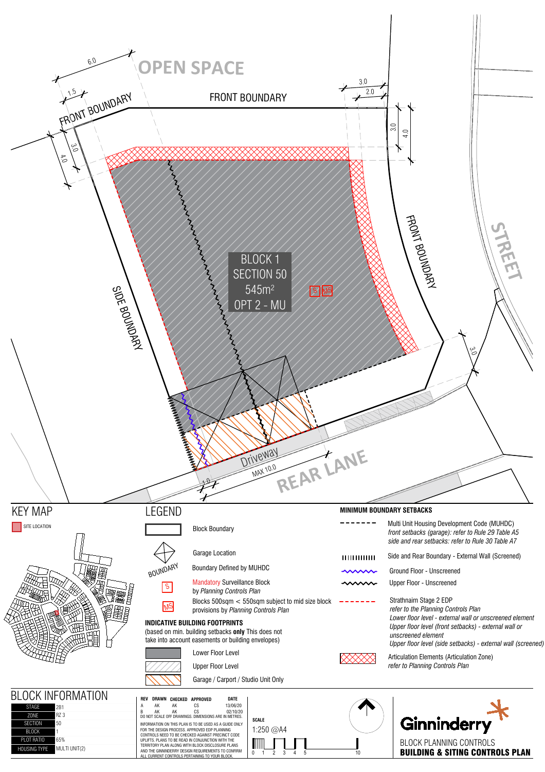